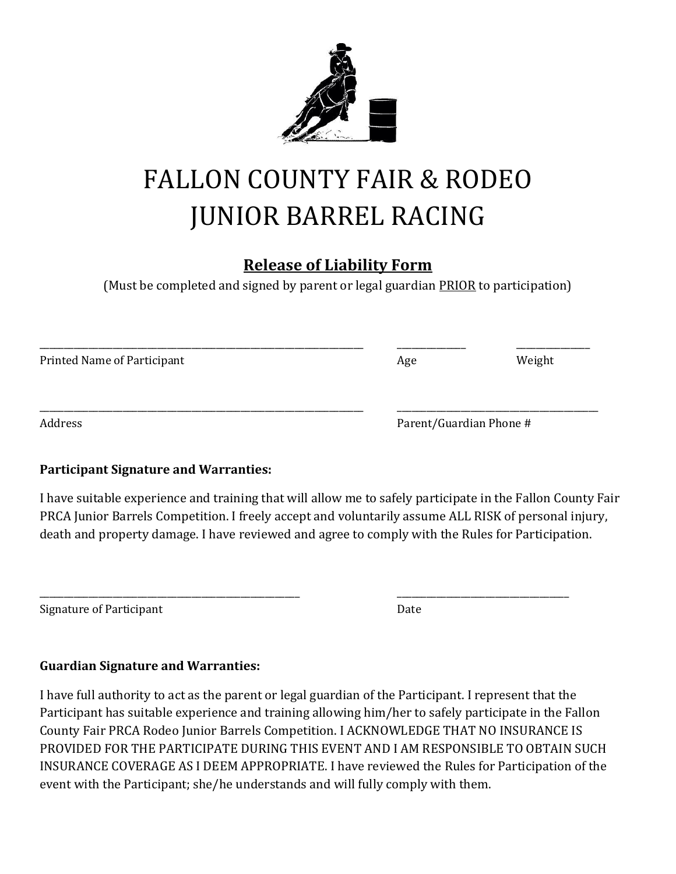

# FALLON COUNTY FAIR & RODEO JUNIOR BARREL RACING

## **Release of Liability Form**

(Must be completed and signed by parent or legal guardian PRIOR to participation)

| Printed Name of Participant | Age | Weight                  |  |
|-----------------------------|-----|-------------------------|--|
|                             |     |                         |  |
| Address                     |     | Parent/Guardian Phone # |  |

#### **Participant Signature and Warranties:**

I have suitable experience and training that will allow me to safely participate in the Fallon County Fair PRCA Junior Barrels Competition. I freely accept and voluntarily assume ALL RISK of personal injury, death and property damage. I have reviewed and agree to comply with the Rules for Participation.

\_\_\_\_\_\_\_\_\_\_\_\_\_\_\_\_\_\_\_\_\_\_\_\_\_\_\_\_\_\_\_\_\_\_\_\_\_\_\_\_\_\_\_\_\_\_\_\_\_\_\_\_\_ \_\_\_\_\_\_\_\_\_\_\_\_\_\_\_\_\_\_\_\_\_\_\_\_\_\_\_\_\_\_\_\_\_\_\_

| Signature of Participant | Date |
|--------------------------|------|
|                          |      |

#### **Guardian Signature and Warranties:**

I have full authority to act as the parent or legal guardian of the Participant. I represent that the Participant has suitable experience and training allowing him/her to safely participate in the Fallon County Fair PRCA Rodeo Junior Barrels Competition. I ACKNOWLEDGE THAT NO INSURANCE IS PROVIDED FOR THE PARTICIPATE DURING THIS EVENT AND I AM RESPONSIBLE TO OBTAIN SUCH INSURANCE COVERAGE AS I DEEM APPROPRIATE. I have reviewed the Rules for Participation of the event with the Participant; she/he understands and will fully comply with them.